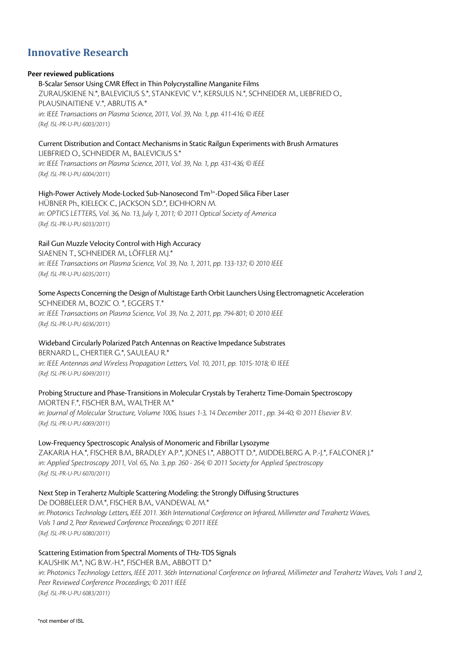# **Innovative Research**

#### **Peer reviewed publications**

B-Scalar Sensor Using CMR Effect in Thin Polycrystalline Manganite Films ZURAUSKIENE N.\*, BALEVICIUS S.\*, STANKEVIC V.\*, KERSULIS N.\*, SCHNEIDER M., LIEBFRIED O., PLAUSINAITIENE V.\*, ABRUTIS A.\* *in: IEEE Transactions on Plasma Science, 2011, Vol. 39, No. 1, pp. 411-416; © IEEE (Ref. ISL-PR-U-PU 6003/2011)*

# Current Distribution and Contact Mechanisms in Static Railgun Experiments with Brush Armatures

LIEBFRIED O., SCHNEIDER M., BALEVICIUS S.\* *in: IEEE Transactions on Plasma Science, 2011, Vol. 39, No. 1, pp. 431-436; © IEEE (Ref. ISL-PR-U-PU 6004/2011)*

High-Power Actively Mode-Locked Sub-Nanosecond Tm<sup>3+</sup>-Doped Silica Fiber Laser HÜBNER Ph., KIELECK C., JACKSON S.D.\*, EICHHORN M. *in: OPTICS LETTERS, Vol. 36, No. 13, July 1, 2011; © 2011 Optical Society of America (Ref. ISL-PR-U-PU 6033/2011)*

Rail Gun Muzzle Velocity Control with High Accuracy SIAENEN T., SCHNEIDER M., LÖFFLER M.J.\* *in: IEEE Transactions on Plasma Science, Vol. 39, No. 1, 2011, pp. 133-137; © 2010 IEEE (Ref. ISL-PR-U-PU 6035/2011)*

Some Aspects Concerning the Design of Multistage Earth Orbit Launchers Using Electromagnetic Acceleration SCHNEIDER M., BOZIC O. \*, EGGERS T.\* *in: IEEE Transactions on Plasma Science, Vol. 39, No. 2, 2011, pp. 794-801; © 2010 IEEE (Ref. ISL-PR-U-PU 6036/2011)*

# Wideband Circularly Polarized Patch Antennas on Reactive Impedance Substrates

BERNARD L., CHERTIER G.\*, SAULEAU R.\* *in: IEEE Antennas and Wireless Propagation Letters, Vol. 10, 2011, pp. 1015-1018; © IEEE (Ref. ISL-PR-U-PU 6049/2011)*

Probing Structure and Phase-Transitions in Molecular Crystals by Terahertz Time-Domain Spectroscopy MORTEN F.\*, FISCHER B.M., WALTHER M.\*

*in: Journal of Molecular Structure, Volume 1006, Issues 1-3, 14 December 2011 , pp. 34-40; © 2011 Elsevier B.V. (Ref. ISL-PR-U-PU 6069/2011)*

# Low-Frequency Spectroscopic Analysis of Monomeric and Fibrillar Lysozyme

ZAKARIA H.A.\*, FISCHER B.M., BRADLEY A.P.\*, JONES I.\*, ABBOTT D.\*, MIDDELBERG A. P.-J.\*, FALCONER J.\* *in: Applied Spectroscopy 2011, Vol. 65, No. 3, pp. 260 - 264; © 2011 Society for Applied Spectroscopy (Ref. ISL-PR-U-PU 6070/2011)*

Next Step in Terahertz Multiple Scattering Modeling: the Strongly Diffusing Structures De DOBBELEER D.M.\*, FISCHER B.M., VANDEWAL M.\*

*in: Photonics Technology Letters, IEEE 2011. 36th International Conference on Infrared, Millimeter and Terahertz Waves, Vols 1 and 2, Peer Reviewed Conference Proceedings; © 2011 IEEE (Ref. ISL-PR-U-PU 6080/2011)*

# Scattering Estimation from Spectral Moments of THz-TDS Signals

KAUSHIK M.\*, NG B.W.-H.\*, FISCHER B.M., ABBOTT D.\* *in: Photonics Technology Letters, IEEE 2011. 36th International Conference on Infrared, Millimeter and Terahertz Waves, Vols 1 and 2, Peer Reviewed Conference Proceedings; © 2011 IEEE (Ref. ISL-PR-U-PU 6083/2011)*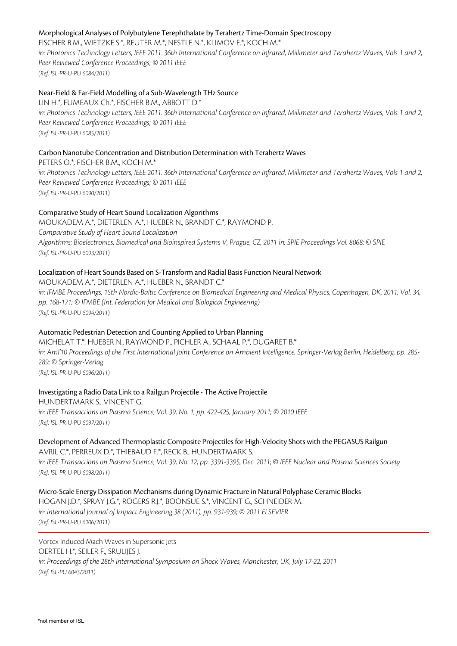# Morphological Analyses of Polybutylene Terephthalate by Terahertz Time-Domain Spectroscopy

FISCHER B.M., WIETZKE S.\*, REUTER M.\*, NESTLE N.\*, KLIMOV E.\*, KOCH M.\* in: Photonics Technology Letters, IEEE 2011. 36th International Conference on Infrared, Millimeter and Terahertz Waves, Vols 1 and 2, *Peer Reviewed Conference Proceedings; © 2011 IEEE (Ref. ISL-PR-U-PU 6084/2011)*

# Near-Field & Far-Field Modelling of a Sub-Wavelength THz Source

LIN H.\*, FUMEAUX Ch.\*, FISCHER B.M., ABBOTT D.\* *in: Photonics Technology Letters, IEEE 2011. 36th International Conference on Infrared, Millimeter and Terahertz Waves, Vols 1 and 2, Peer Reviewed Conference Proceedings; © 2011 IEEE (Ref. ISL-PR-U-PU 6085/2011)*

# Carbon Nanotube Concentration and Distribution Determination with Terahertz Waves

PETERS O.\*, FISCHER B.M., KOCH M.\*

*in: Photonics Technology Letters, IEEE 2011. 36th International Conference on Infrared, Millimeter and Terahertz Waves, Vols 1 and 2, Peer Reviewed Conference Proceedings; © 2011 IEEE (Ref. ISL-PR-U-PU 6090/2011)*

# Comparative Study of Heart Sound Localization Algorithms

MOUKADEM A.\*, DIETERLEN A.\*, HUEBER N., BRANDT C.\*, RAYMOND P. *Comparative Study of Heart Sound Localization Algorithms; Bioelectronics, Biomedical and Bioinspired Systems V, Prague, CZ, 2011 in: SPIE Proceedings Vol. 8068; © SPIE (Ref. ISL-PR-U-PU 6093/2011)*

# Localization of Heart Sounds Based on S-Transform and Radial Basis Function Neural Network

MOUKADEM A.\*, DIETERLEN A.\*, HUEBER N., BRANDT C.\*

*in: IFMBE Proceedings, 15th Nordic-Baltic Conference on Biomedical Engineering and Medical Physics, Copenhagen, DK, 2011, Vol. 34, pp. 168-171; © IFMBE (Int. Federation for Medical and Biological Engineering) (Ref. ISL-PR-U-PU 6094/2011)*

# Automatic Pedestrian Detection and Counting Applied to Urban Planning

MICHELAT T.\*, HUEBER N., RAYMOND P., PICHLER A., SCHAAL P.\*, DUGARET B.\* *in: AmI'10 Proceedings of the First International Joint Conference on Ambient Intelligence, Springer-Verlag Berlin, Heidelberg, pp. 285- 289; © Springer-Verlag (Ref. ISL-PR-U-PU 6096/2011)*

# Investigating a Radio Data Link to a Railgun Projectile - The Active Projectile

HUNDERTMARK S., VINCENT G. *in: IEEE Transactions on Plasma Science, Vol. 39, No. 1, pp. 422-425, January 2011; © 2010 IEEE (Ref. ISL-PR-U-PU 6097/2011)*

# Development of Advanced Thermoplastic Composite Projectiles for High-Velocity Shots with the PEGASUS Railgun

AVRIL C.\*, PERREUX D.\*, THIEBAUD F.\*, RECK B., HUNDERTMARK S. *in: IEEE Transactions on Plasma Science, Vol. 39, No. 12, pp. 3391-3395, Dec. 2011; © IEEE Nuclear and Plasma Sciences Society (Ref. ISL-PR-U-PU 6098/2011)*

Micro-Scale Energy Dissipation Mechanisms during Dynamic Fracture in Natural Polyphase Ceramic Blocks HOGAN J.D.\*, SPRAY J.G.\*, ROGERS R.J.\*, BOONSUE S.\*, VINCENT G., SCHNEIDER M. *in: International Journal of Impact Engineering 38 (2011), pp. 931-939; © 2011 ELSEVIER (Ref. ISL-PR-U-PU 6106/2011)*

# Vortex Induced Mach Waves in Supersonic Jets OERTEL H.\*, SEILER F., SRULIJES J. *in: Proceedings of the 28th International Symposium on Shock Waves, Manchester, UK, July 17-22, 2011 (Ref. ISL-PU 6043/2011)*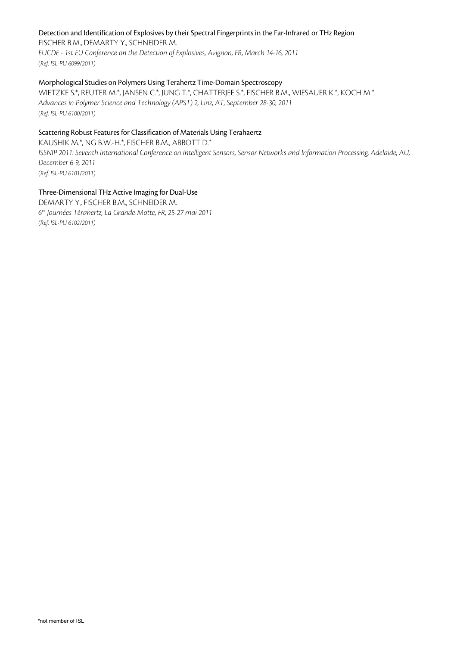# Detection and Identification of Explosives by their Spectral Fingerprints in the Far-Infrared or THz Region

FISCHER B.M., DEMARTY Y., SCHNEIDER M. *EUCDE - 1st EU Conference on the Detection of Explosives, Avignon, FR, March 14-16, 2011 (Ref. ISL-PU 6099/2011)*

# Morphological Studies on Polymers Using Terahertz Time-Domain Spectroscopy

WIETZKE S.\*, REUTER M.\*, JANSEN C.\*, JUNG T.\*, CHATTERJEE S.\*, FISCHER B.M., WIESAUER K.\*, KOCH M.\* *Advances in Polymer Science and Technology (APST) 2, Linz, AT, September 28-30, 2011 (Ref. ISL-PU 6100/2011)*

# Scattering Robust Features for Classification of Materials Using Terahaertz

KAUSHIK M.\*, NG B.W.-H.\*, FISCHER B.M., ABBOTT D.\* *ISSNIP 2011: Seventh International Conference on Intelligent Sensors, Sensor Networks and Information Processing, Adelaide, AU, December 6-9, 2011 (Ref. ISL-PU 6101/2011)*

# Three-Dimensional THz Active Imaging for Dual-Use

DEMARTY Y., FISCHER B.M., SCHNEIDER M. *6es Journées Térahertz, La Grande-Motte, FR, 25-27 mai 2011 (Ref. ISL-PU 6102/2011)*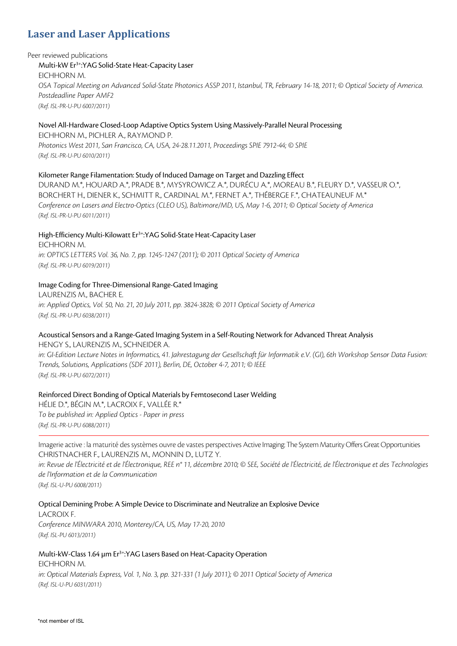# **Laser and Laser Applications**

#### Peer reviewed publications

# Multi-kW Er3+:YAG Solid-State Heat-Capacity Laser

EICHHORN M. *OSA Topical Meeting on Advanced Solid-State Photonics ASSP 2011, Istanbul, TR, February 14-18, 2011; © Optical Society of America. Postdeadline Paper AMF2 (Ref. ISL-PR-U-PU 6007/2011)*

# Novel All-Hardware Closed-Loop Adaptive Optics System Using Massively-Parallel Neural Processing

EICHHORN M., PICHLER A., RAYMOND P. *Photonics West 2011, San Francisco, CA, USA, 24-28.11.2011, Proceedings SPIE 7912-44; © SPIE (Ref. ISL-PR-U-PU 6010/2011)*

# Kilometer Range Filamentation: Study of Induced Damage on Target and Dazzling Effect

DURAND M.\*, HOUARD A.\*, PRADE B.\*, MYSYROWICZ A.\*, DURÉCU A.\*, MOREAU B.\*, FLEURY D.\*, VASSEUR O.\*, BORCHERT H., DIENER K., SCHMITT R., CARDINAL M.\*, FERNET A.\*, THÉBERGE F.\*, CHATEAUNEUF M.\* *Conference on Lasers and Electro-Optics (CLEO US), Baltimore/MD, US, May 1-6, 2011; © Optical Society of America (Ref. ISL-PR-U-PU 6011/2011)*

### High-Efficiency Multi-Kilowatt Er<sup>3+</sup>:YAG Solid-State Heat-Capacity Laser EICHHORN M. *in: OPTICS LETTERS Vol. 36, No. 7, pp. 1245-1247 (2011); © 2011 Optical Society of America (Ref. ISL-PR-U-PU 6019/2011)*

# Image Coding for Three-Dimensional Range-Gated Imaging

LAURENZIS M., BACHER E. *in: Applied Optics, Vol. 50, No. 21, 20 July 2011, pp. 3824-3828; © 2011 Optical Society of America (Ref. ISL-PR-U-PU 6038/2011)*

# Acoustical Sensors and a Range-Gated Imaging System in a Self-Routing Network for Advanced Threat Analysis

HENGY S., LAURENZIS M., SCHNEIDER A.

*in: GI-Edition Lecture Notes in Informatics, 41. Jahrestagung der Gesellschaft für Informatik e.V. (GI), 6th Workshop Sensor Data Fusion: Trends, Solutions, Applications (SDF 2011), Berlin, DE, October 4-7, 2011; © IEEE (Ref. ISL-PR-U-PU 6072/2011)*

# Reinforced Direct Bonding of Optical Materials by Femtosecond Laser Welding

HÉLIE D.\*, BÉGIN M.\*, LACROIX F., VALLÉE R.\* *To be published in: Applied Optics - Paper in press (Ref. ISL-PR-U-PU 6088/2011)*

Imagerie active : la maturité des systèmes ouvre de vastes perspectives Active Imaging: The System Maturity Offers Great Opportunities CHRISTNACHER F., LAURENZIS M., MONNIN D., LUTZ Y.

*in: Revue de l'Électricité et de l'Électronique, REE n° 11, décembre 2010; © SEE, Société de l'Électricité, de l'Électronique et des Technologies de l'Information et de la Communication*

*(Ref. ISL-U-PU 6008/2011)*

Optical Demining Probe: A Simple Device to Discriminate and Neutralize an Explosive Device

LACROIX F. *Conference MINWARA 2010, Monterey/CA, US, May 17-20, 2010 (Ref. ISL-PU 6013/2011)*

Multi-kW-Class 1.64 µm Er<sup>3+</sup>:YAG Lasers Based on Heat-Capacity Operation EICHHORN M.

*in: Optical Materials Express, Vol. 1, No. 3, pp. 321-331 (1 July 2011); © 2011 Optical Society of America (Ref. ISL-U-PU 6031/2011)*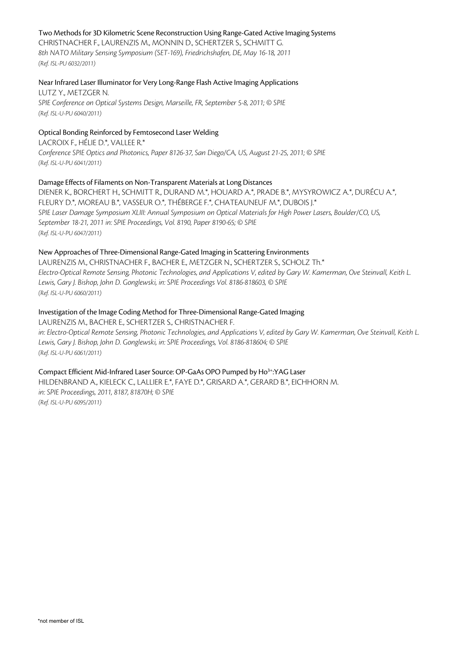### Two Methods for 3D Kilometric Scene Reconstruction Using Range-Gated Active Imaging Systems

CHRISTNACHER F., LAURENZIS M., MONNIN D., SCHERTZER S., SCHMITT G. *8th NATO Military Sensing Symposium (SET-169), Friedrichshafen, DE, May 16-18, 2011 (Ref. ISL-PU 6032/2011)*

#### Near Infrared Laser Illuminator for Very Long-Range Flash Active Imaging Applications

LUTZ Y., METZGER N. *SPIE Conference on Optical Systems Design, Marseille, FR, September 5-8, 2011; © SPIE (Ref. ISL-U-PU 6040/2011)*

# Optical Bonding Reinforced by Femtosecond Laser Welding

LACROIX F., HÉLIE D.\*, VALLEE R.\* *Conference SPIE Optics and Photonics, Paper 8126-37, San Diego/CA, US, August 21-25, 2011; © SPIE (Ref. ISL-U-PU 6041/2011)*

#### Damage Effects of Filaments on Non-Transparent Materials at Long Distances

DIENER K., BORCHERT H., SCHMITT R., DURAND M.\*, HOUARD A.\*, PRADE B.\*, MYSYROWICZ A.\*, DURÉCU A.\*, FLEURY D.\*, MOREAU B.\*, VASSEUR O.\*, THÉBERGE F.\*, CHATEAUNEUF M.\*, DUBOIS J.\* *SPIE Laser Damage Symposium XLIII: Annual Symposium on Optical Materials for High Power Lasers, Boulder/CO, US, September 18-21, 2011 in: SPIE Proceedings, Vol. 8190, Paper 8190-65; © SPIE (Ref. ISL-U-PU 6047/2011)*

#### New Approaches of Three-Dimensional Range-Gated Imaging in Scattering Environments

LAURENZIS M., CHRISTNACHER F., BACHER E., METZGER N., SCHERTZER S., SCHOLZ Th.\* *Electro-Optical Remote Sensing, Photonic Technologies, and Applications V, edited by Gary W. Kamerman, Ove Steinvall, Keith L. Lewis, Gary J. Bishop, John D. Gonglewski, in: SPIE Proceedings Vol. 8186-818603, © SPIE (Ref. ISL-U-PU 6060/2011)*

#### Investigation of the Image Coding Method for Three-Dimensional Range-Gated Imaging

LAURENZIS M., BACHER E., SCHERTZER S., CHRISTNACHER F. *in: Electro-Optical Remote Sensing, Photonic Technologies, and Applications V, edited by Gary W. Kamerman, Ove Steinvall, Keith L. Lewis, Gary J. Bishop, John D. Gonglewski, in: SPIE Proceedings, Vol. 8186-818604; © SPIE (Ref. ISL-U-PU 6061/2011)*

# Compact Efficient Mid-Infrared Laser Source: OP-GaAs OPO Pumped by Ho3+:YAG Laser

HILDENBRAND A., KIELECK C., LALLIER E.\*, FAYE D.\*, GRISARD A.\*, GERARD B.\*, EICHHORN M. *in: SPIE Proceedings, 2011, 8187, 81870H; © SPIE (Ref. ISL-U-PU 6095/2011)*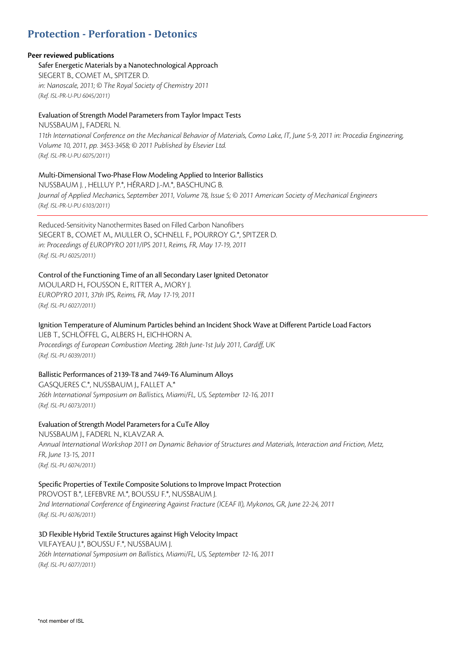# **Protection - Perforation - Detonics**

### **Peer reviewed publications**

Safer Energetic Materials by a Nanotechnological Approach

SIEGERT B., COMET M., SPITZER D. *in: Nanoscale, 2011; © The Royal Society of Chemistry 2011 (Ref. ISL-PR-U-PU 6045/2011)*

#### Evaluation of Strength Model Parameters from Taylor Impact Tests

NUSSBAUM J., FADERL N.

*11th International Conference on the Mechanical Behavior of Materials, Como Lake, IT, June 5-9, 2011 in: Procedia Engineering, Volume 10, 2011, pp. 3453-3458; © 2011 Published by Elsevier Ltd. (Ref. ISL-PR-U-PU 6075/2011)*

# Multi-Dimensional Two-Phase Flow Modeling Applied to Interior Ballistics

NUSSBAUM J. , HELLUY P.\*, HÉRARD J.-M.\*, BASCHUNG B. *Journal of Applied Mechanics, September 2011, Volume 78, Issue 5; © 2011 American Society of Mechanical Engineers (Ref. ISL-PR-U-PU 6103/2011)*

Reduced-Sensitivity Nanothermites Based on Filled Carbon Nanofibers SIEGERT B., COMET M., MULLER O., SCHNELL F., POURROY G.\*, SPITZER D. *in: Proceedings of EUROPYRO 2011/IPS 2011, Reims, FR, May 17-19, 2011 (Ref. ISL-PU 6025/2011)*

# Control of the Functioning Time of an all Secondary Laser Ignited Detonator

MOULARD H., FOUSSON E., RITTER A., MORY J. *EUROPYRO 2011, 37th IPS, Reims, FR, May 17-19, 2011 (Ref. ISL-PU 6027/2011)*

Ignition Temperature of Aluminum Particles behind an Incident Shock Wave at Different Particle Load Factors LIEB T., SCHLÖFFEL G., ALBERS H., EICHHORN A. *Proceedings of European Combustion Meeting, 28th June-1st July 2011, Cardiff, UK (Ref. ISL-PU 6039/2011)*

Ballistic Performances of 2139-T8 and 7449-T6 Aluminum Alloys GASQUERES C.\*, NUSSBAUM J., FALLET A.\* *26th International Symposium on Ballistics, Miami/FL, US, September 12-16, 2011 (Ref. ISL-PU 6073/2011)*

Evaluation of Strength Model Parameters for a CuTe Alloy NUSSBAUM J., FADERL N., KLAVZAR A. *Annual International Workshop 2011 on Dynamic Behavior of Structures and Materials, Interaction and Friction, Metz, FR, June 13-15, 2011 (Ref. ISL-PU 6074/2011)*

#### Specific Properties of Textile Composite Solutions to Improve Impact Protection PROVOST B.\*, LEFEBVRE M.\*, BOUSSU F.\*, NUSSBAUM J.

*2nd International Conference of Engineering Against Fracture (ICEAF II), Mykonos, GR, June 22-24, 2011 (Ref. ISL-PU 6076/2011)*

3D Flexible Hybrid Textile Structures against High Velocity Impact VILFAYEAU J.\*, BOUSSU F.\*, NUSSBAUM J. *26th International Symposium on Ballistics, Miami/FL, US, September 12-16, 2011 (Ref. ISL-PU 6077/2011)*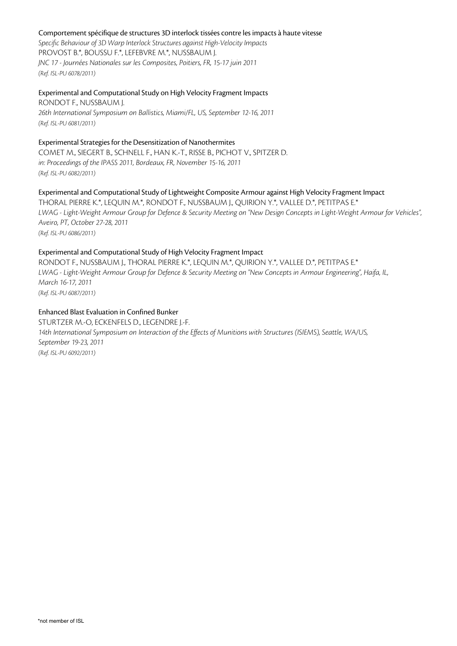#### Comportement spécifique de structures 3D interlock tissées contre les impacts à haute vitesse

*Specific Behaviour of 3D Warp Interlock Structures against High-Velocity Impacts* PROVOST B.\*, BOUSSU F.\*, LEFEBVRE M.\*, NUSSBAUM J. *JNC 17 - Journées Nationales sur les Composites, Poitiers, FR, 15-17 juin 2011 (Ref. ISL-PU 6078/2011)*

# Experimental and Computational Study on High Velocity Fragment Impacts

RONDOT F., NUSSBAUM J. *26th International Symposium on Ballistics, Miami/FL, US, September 12-16, 2011 (Ref. ISL-PU 6081/2011)*

# Experimental Strategies for the Desensitization of Nanothermites

COMET M., SIEGERT B., SCHNELL F., HAN K.-T., RISSE B., PICHOT V., SPITZER D. *in: Proceedings of the IPASS 2011, Bordeaux, FR, November 15-16, 2011 (Ref. ISL-PU 6082/2011)*

# Experimental and Computational Study of Lightweight Composite Armour against High Velocity Fragment Impact

THORAL PIERRE K.\*, LEQUIN M.\*, RONDOT F., NUSSBAUM J., QUIRION Y.\*, VALLEE D.\*, PETITPAS E.\* *LWAG - Light-Weight Armour Group for Defence & Security Meeting on "New Design Concepts in Light-Weight Armour for Vehicles", Aveiro, PT, October 27-28, 2011 (Ref. ISL-PU 6086/2011)*

# Experimental and Computational Study of High Velocity Fragment Impact

RONDOT F., NUSSBAUM J., THORAL PIERRE K.\*, LEQUIN M.\*, QUIRION Y.\*, VALLEE D.\*, PETITPAS E.\* *LWAG - Light-Weight Armour Group for Defence & Security Meeting on "New Concepts in Armour Engineering", Haifa, IL, March 16-17, 2011 (Ref. ISL-PU 6087/2011)*

# Enhanced Blast Evaluation in Confined Bunker

STURTZER M.-O, ECKENFELS D., LEGENDRE J.-F. *14th International Symposium on Interaction of the Effects of Munitions with Structures (ISIEMS), Seattle, WA/US, September 19-23, 2011 (Ref. ISL-PU 6092/2011)*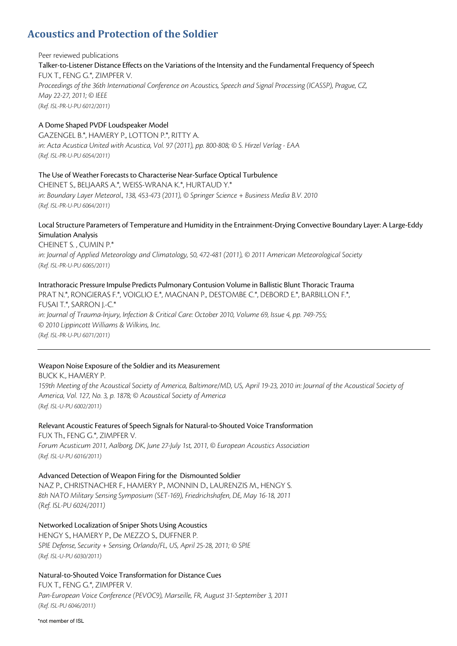# **Acoustics and Protection of the Soldier**

# Peer reviewed publications Talker-to-Listener Distance Effects on the Variations of the Intensity and the Fundamental Frequency of Speech FUX T., FENG G.\*, ZIMPFER V. *Proceedings of the 36th International Conference on Acoustics, Speech and Signal Processing (ICASSP), Prague, CZ, May 22-27, 2011; © IEEE (Ref. ISL-PR-U-PU 6012/2011)*

#### A Dome Shaped PVDF Loudspeaker Model

GAZENGEL B.\*, HAMERY P., LOTTON P.\*, RITTY A. *in: Acta Acustica United with Acustica, Vol. 97 (2011), pp. 800-808; © S. Hirzel Verlag - EAA (Ref. ISL-PR-U-PU 6054/2011)*

#### The Use of Weather Forecasts to Characterise Near-Surface Optical Turbulence

CHEINET S., BELJAARS A.\*, WEISS-WRANA K.\*, HURTAUD Y.\* *in: Boundary Layer Meteorol., 138, 453-473 (2011), © Springer Science + Business Media B.V. 2010 (Ref. ISL-PR-U-PU 6064/2011)*

### Local Structure Parameters of Temperature and Humidity in the Entrainment-Drying Convective Boundary Layer: A Large-Eddy Simulation Analysis

CHEINET S. , CUMIN P.\* *in: Journal of Applied Meteorology and Climatology, 50, 472-481 (2011), © 2011 American Meteorological Society (Ref. ISL-PR-U-PU 6065/2011)*

### Intrathoracic Pressure Impulse Predicts Pulmonary Contusion Volume in Ballistic Blunt Thoracic Trauma

PRAT N.\*, RONGIERAS F.\*, VOIGLIO E.\*, MAGNAN P., DESTOMBE C.\*, DEBORD E.\*, BARBILLON F.\*, FUSAI T.\*, SARRON J.-C.\* *in: Journal of Trauma-Injury, Infection & Critical Care: October 2010, Volume 69, Issue 4, pp. 749-755; © 2010 Lippincott Williams & Wilkins, Inc. (Ref. ISL-PR-U-PU 6071/2011)*

# Weapon Noise Exposure of the Soldier and its Measurement

# BUCK K., HAMERY P.

*159th Meeting of the Acoustical Society of America, Baltimore/MD, US, April 19-23, 2010 in: Journal of the Acoustical Society of America, Vol. 127, No. 3, p. 1878; © Acoustical Society of America (Ref. ISL-U-PU 6002/2011)*

Relevant Acoustic Features of Speech Signals for Natural-to-Shouted Voice Transformation FUX Th., FENG G.\*, ZIMPFER V. *Forum Acusticum 2011, Aalborg, DK, June 27-July 1st, 2011, © European Acoustics Association (Ref. ISL-U-PU 6016/2011)*

Advanced Detection of Weapon Firing for the Dismounted Soldier NAZ P., CHRISTNACHER F., HAMERY P., MONNIN D., LAURENZIS M., HENGY S. *8th NATO Military Sensing Symposium (SET-169), Friedrichshafen, DE, May 16-18, 2011 (Ref. ISL-PU 6024/2011)*

Networked Localization of Sniper Shots Using Acoustics HENGY S., HAMERY P., De MEZZO S., DUFFNER P. *SPIE Defense, Security + Sensing, Orlando/FL, US, April 25-28, 2011; © SPIE (Ref. ISL-U-PU 6030/2011)*

Natural-to-Shouted Voice Transformation for Distance Cues

FUX T., FENG G.\*, ZIMPFER V. *Pan-European Voice Conference (PEVOC9), Marseille, FR, August 31-September 3, 2011 (Ref. ISL-PU 6046/2011)*

\*not member of ISL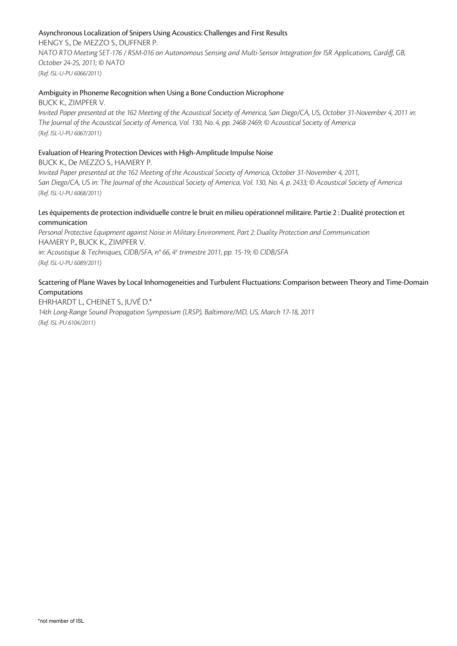# Asynchronous Localization of Snipers Using Acoustics: Challenges and First Results

HENGY S., De MEZZO S., DUFFNER P. *NATO RTO Meeting SET-176 / RSM-016 on Autonomous Sensing and Multi-Sensor Integration for ISR Applications, Cardiff, GB, October 24-25, 2011; © NATO (Ref. ISL-U-PU 6066/2011)*

#### Ambiguity in Phoneme Recognition when Using a Bone Conduction Microphone

BUCK K., ZIMPFER V. *Invited Paper presented at the 162 Meeting of the Acoustical Society of America, San Diego/CA, US, October 31-November 4, 2011 in: The Journal of the Acoustical Society of America, Vol. 130, No. 4, pp. 2468-2469; © Acoustical Society of America (Ref. ISL-U-PU 6067/2011)*

#### Evaluation of Hearing Protection Devices with High-Amplitude Impulse Noise

BUCK K., De MEZZO S., HAMERY P.

*Invited Paper presented at the 162 Meeting of the Acoustical Society of America, October 31-November 4, 2011, San Diego/CA, US in: The Journal of the Acoustical Society of America, Vol. 130, No. 4, p. 2433; © Acoustical Society of America (Ref. ISL-U-PU 6068/2011)*

#### Les équipements de protection individuelle contre le bruit en milieu opérationnel militaire. Partie 2 : Dualité protection et communication

*Personal Protective Equipment against Noise in Military Environment. Part 2: Duality Protection and Communication* HAMERY P., BUCK K., ZIMPFER V.

*in: Acoustique & Techniques, CIDB/SFA, n° 66, 4e trimestre 2011, pp. 15-19; © CIDB/SFA (Ref. ISL-U-PU 6089/2011)*

# Scattering of Plane Waves by Local Inhomogeneities and Turbulent Fluctuations: Comparison between Theory and Time-Domain Computations

EHRHARDT L., CHEINET S., JUVÉ D.\* *14th Long-Range Sound Propagation Symposium (LRSP), Baltimore/MD, US, March 17-18, 2011* 

*(Ref. ISL-PU 6104/2011)*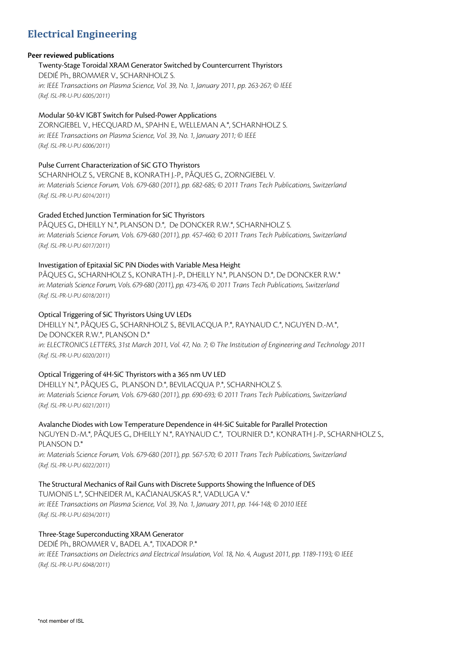# **Electrical Engineering**

# **Peer reviewed publications**

#### Twenty-Stage Toroidal XRAM Generator Switched by Countercurrent Thyristors

DEDIÉ Ph., BROMMER V., SCHARNHOLZ S. *in: IEEE Transactions on Plasma Science, Vol. 39, No. 1, January 2011, pp. 263-267; © IEEE (Ref. ISL-PR-U-PU 6005/2011)*

# Modular 50-kV IGBT Switch for Pulsed-Power Applications

ZORNGIEBEL V., HECQUARD M., SPAHN E., WELLEMAN A.\*, SCHARNHOLZ S. *in: IEEE Transactions on Plasma Science, Vol. 39, No. 1, January 2011; © IEEE (Ref. ISL-PR-U-PU 6006/2011)*

# Pulse Current Characterization of SiC GTO Thyristors

SCHARNHOLZ S., VERGNE B., KONRATH J.-P., PÂQUES G., ZORNGIEBEL V. *in: Materials Science Forum, Vols. 679-680 (2011), pp. 682-685; © 2011 Trans Tech Publications, Switzerland (Ref. ISL-PR-U-PU 6014/2011)*

# Graded Etched Junction Termination for SiC Thyristors

PÂQUES G., DHEILLY N.\*, PLANSON D.\*, De DONCKER R.W.\*, SCHARNHOLZ S. *in: Materials Science Forum, Vols. 679-680 (2011), pp. 457-460; © 2011 Trans Tech Publications, Switzerland (Ref. ISL-PR-U-PU 6017/2011)*

# Investigation of Epitaxial SiC PiN Diodes with Variable Mesa Height

PÂQUES G., SCHARNHOLZ S., KONRATH J.-P., DHEILLY N.\*, PLANSON D.\*, De DONCKER R.W.\* *in: Materials Science Forum, Vols. 679-680 (2011), pp. 473-476, © 2011 Trans Tech Publications, Switzerland (Ref. ISL-PR-U-PU 6018/2011)*

# Optical Triggering of SiC Thyristors Using UV LEDs

DHEILLY N.\*, PÂQUES G., SCHARNHOLZ S., BEVILACQUA P.\*, RAYNAUD C.\*, NGUYEN D.-M.\*, De DONCKER R.W.\*, PLANSON D.\* *in: ELECTRONICS LETTERS, 31st March 2011, Vol. 47, No. 7; © The Institution of Engineering and Technology 2011 (Ref. ISL-PR-U-PU 6020/2011)*

# Optical Triggering of 4H-SiC Thyristors with a 365 nm UV LED

DHEILLY N.\*, PÂQUES G., PLANSON D.\*, BEVILACQUA P.\*, SCHARNHOLZ S. *in: Materials Science Forum, Vols. 679-680 (2011), pp. 690-693; © 2011 Trans Tech Publications, Switzerland (Ref. ISL-PR-U-PU 6021/2011)*

Avalanche Diodes with Low Temperature Dependence in 4H-SiC Suitable for Parallel Protection NGUYEN D.-M.\*, PÂQUES G., DHEILLY N.\*, RAYNAUD C.\*, TOURNIER D.\*, KONRATH J.-P., SCHARNHOLZ S., PLANSON D.\*

*in: Materials Science Forum, Vols. 679-680 (2011), pp. 567-570; © 2011 Trans Tech Publications, Switzerland (Ref. ISL-PR-U-PU 6022/2011)*

# The Structural Mechanics of Rail Guns with Discrete Supports Showing the Influence of DES

TUMONIS L.\*, SCHNEIDER M., KAČIANAUSKAS R.\*, VADLUGA V.\* *in: IEEE Transactions on Plasma Science, Vol. 39, No. 1, January 2011, pp. 144-148; © 2010 IEEE (Ref. ISL-PR-U-PU 6034/2011)*

# Three-Stage Superconducting XRAM Generator

DEDIÉ Ph., BROMMER V., BADEL A.\*, TIXADOR P.\* *in: IEEE Transactions on Dielectrics and Electrical Insulation, Vol. 18, No. 4, August 2011, pp. 1189-1193; © IEEE (Ref. ISL-PR-U-PU 6048/2011)*